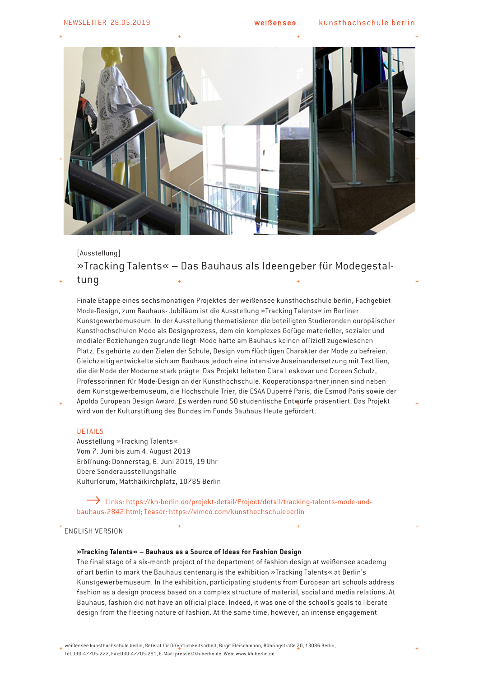

# [Ausstellung] »Tracking Talents« – Das Bauhaus als Ideengeber für Modegestal-

## tung

Finale Etappe eines sechsmonatigen Projektes der weißensee kunsthochschule berlin, Fachgebiet Mode-Design, zum Bauhaus- Jubiläum ist die Ausstellung »Tracking Talents« im Berliner Kunstgewerbemuseum. In der Ausstellung thematisieren die beteiligten Studierenden europäischer Kunsthochschulen Mode als Designprozess, dem ein komplexes Gefüge materieller, sozialer und medialer Beziehungen zugrunde liegt. Mode hatte am Bauhaus keinen offiziell zugewiesenen Platz. Es gehörte zu den Zielen der Schule, Design vom flüchtigen Charakter der Mode zu befreien. Gleichzeitig entwickelte sich am Bauhaus jedoch eine intensive Auseinandersetzung mit Textilien, die die Mode der Moderne stark prägte. Das Projekt leiteten Clara Leskovar und Doreen Schulz, Professorinnen für Mode-Design an der Kunsthochschule. Kooperationspartner innen sind neben dem Kunstgewerbemuseum, die Hochschule Trier, die ESAA Duperré Paris, die Esmod Paris sowie der

Apolda European Design Award. Es werden rund 50 studentische Entwürfe präsentiert. Das Projekt wird von der Kulturstiftung des Bundes im Fonds Bauhaus Heute gefördert.

#### DETAILS

Ausstellung »Tracking Talents« Vom 7. Juni bis zum 4. August 2019 Eröffnung: Donnerstag, 6. Juni 2019, 19 Uhr Obere Sonderausstellungshalle Kulturforum, Matthäikirchplatz, 10785 Berlin

 Links: https://kh-berlin.de/projekt-detail/Project/detail/tracking-talents-mode-undbauhaus-2842.html; Teaser: https://vimeo.com/kunsthochschuleberlin

## ENGLISH VERSION

### **»Tracking Talents« – Bauhaus as a Source of Ideas for Fashion Design**

The final stage of a six-month project of the department of fashion design at weißensee academy of art berlin to mark the Bauhaus centenary is the exhibition »Tracking Talents« at Berlin's Kunstgewerbemuseum. In the exhibition, participating students from European art schools address fashion as a design process based on a complex structure of material, social and media relations. At Bauhaus, fashion did not have an official place. Indeed, it was one of the school's goals to liberate design from the fleeting nature of fashion. At the same time, however, an intense engagement

 $_+$  weißensee kunsthochschule berlin, Referat für Öffentlichkeitsarbeit, Birgit Fleischmann, Bühringstraße 20, 13086 Berlin, Tel.030-47705-222, Fax:030-47705-291, E-Mail: presse@kh-berlin.de, Web: www.kh-berlin.de